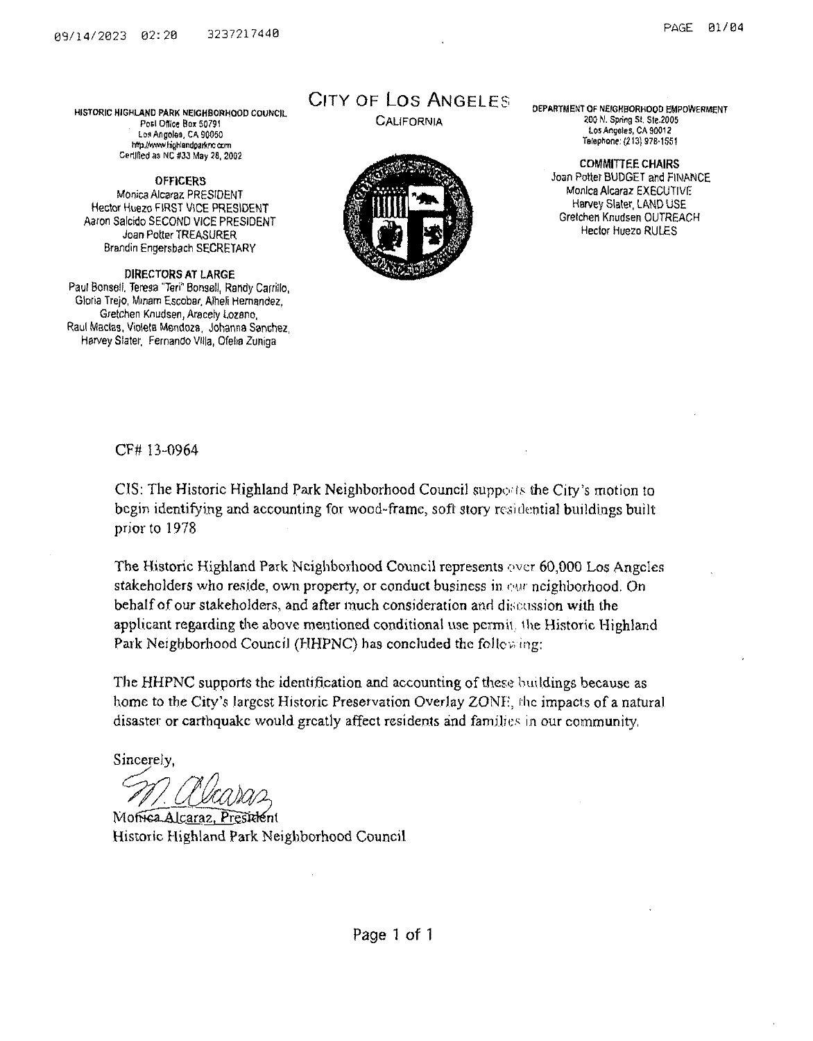HISTORIC HIGHLAND PARK NEIGHBORHOOD COUNCIL Posl Office Box 50791 Los Angoles, CA 90050 http://www.hignlandparknc.com Certified as NC #33 May 28, 2002

**OFFICERS Monica Alcaraz PRESIDENT Hector Huezo FIRST VICE PRESIDENT Aaron Salcido SECOND VICE PRESIDENT Joan Potter TREASURER Brandin Engersbach SECRETARY**

**DIRECTORS AT LARGE Paul Bonsell, Teresa "Teri" Bonsai!, Randy Carrillo, Gloria Trejo, Miriam Escobar, Aiheli Hernandez, Gretchen Knudsen, Aracely Lozano, Raul Macias, Violets Mendoza, Johanna Sanchez Harvey Slater, Fernando Villa, Ofelia Zuniga**

## City of Los Angeles

**California**



DEPARTMENT OF NEfGHBORHOOO EMPOWERMENT 200 N. Spring St. Ste.2005 Los Angeles, CA 90012 Telephone: {213) 978-1S51

**COMMITTEE CHAIRS Joan Potter BUDGET and FINANCE Monica Alcaraz EXECUTIVE Harvey Slater, LAND USE Gretchen Knudsen OUTREACH Hector Huezo RULES**

#### CF# 13-0964

CIS: The Historic Highland Park Neighborhood Council supports the City's motion to begin identifying and accounting for wood-frame, soft story residential buildings built prior to 1978

The Historic Highland Park Neighborhood Council represents over 60,000 Los Angeles stakeholders who reside, own property, or conduct business in our neighborhood. On behalfofour stakeholders, and after much consideration and discussion with the applicant regarding the above mentioned conditional use permit, the Historic Highland Park Neighborhood Council (HHPNC) has concluded the following:

The HHPNC supports the identification and accounting of these buildings because as home to the City's largest Historic Preservation Overlay ZONF, the impacts of a natural disaster or earthquake would greatly affect residents and families in our community,

Sincerely,

Moffica Alcaraz, President Historic Highland Park Neighborhood Council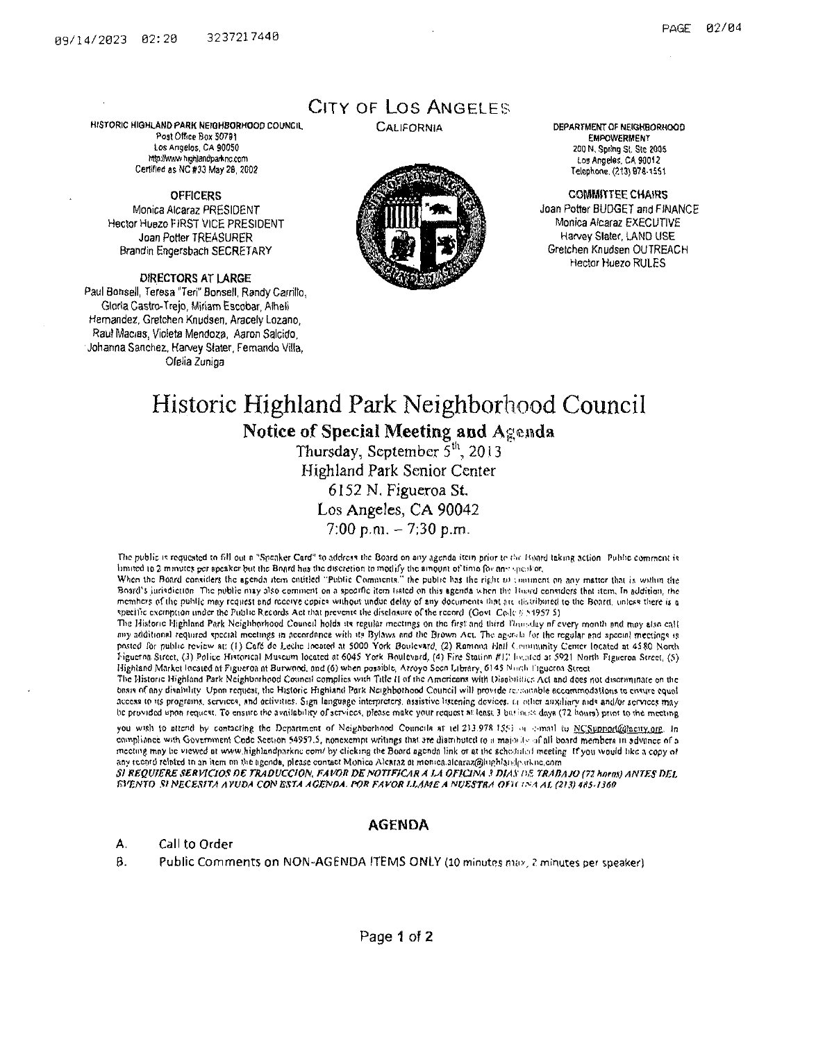HISTORIC HIGHLAND PARK NEIGHBORHOOD COUNCIL Post Office Box 50781 Los Angelos, CA 90050 httpiIAwMi fiighlsndpaAnc.com Certified as NC #33 May 28, 2002

**OFFICERS Monica Alcaraz PRESIDENT Hector Huezo FIRST VICE PRESIDENT Joan Potter TREASURER Brandin Engersbach SECRETARY**

**DIRECTORS AT LARGE Paul Bonsell, Teresa "Teri" Sonsell, Randy Carrillo, Gloria Castro-Trejo, Miriam Escobar, Aiheii Hernandez, Gretchen Knudsen, Aracely Lozano, Raul Mac/ss, Violeta Mendoza, Aaron Salcido, Johanna Sanchez, Harvey Slater, Fernando Villa, Ofelia Zuniga**

### CITY OF LOS ANGELES



CALIFORNIA DEPARTMENT OF NEIGHBORHOOD EMPOWERMENT 200 N. Spring St. Ste 2005 los Angeles. CA 90012 Telephone. (213) 978-1551

> **COMMITTEE CHAIRS Joan Potter BUDGET and FINANCE Monica Alcaraz EXECUTIVE Harvey Slater, LAND USE Gretchen Knudsen OUTREACH Hector Huezo RULES**

# Historic Highland Park Neighborhood Council

**Notice of Special Meeting and Agenda**

Thursday, September  $5<sup>th</sup>$ , 2013 Highland Park Senior Center 6152 N, Figueroa St.

Los Angeles, CA 90042

 $7:00$  p.m.  $-7:30$  p.m.

The public is requested to fill out a "Speaker Card" to address the Board on any agenda item prior to the Hoard taking action. Public comment is limited to 2 minutes per speaker but the Bnard hiis the discretion to modify the amount of time for any speaker,

When the Board considers the agenda item entitled "Public Comments," the public has the right to comment on any matter that is within the Board's jurisdiction. The public may also comment on a spocific item listed on this agenda when the Hoard considers that item. In addition, the members of the public may request and receive copies without undue delay of any documents that are distributed to the Board, unless there is a specific exemption under the Public Records Act that prevents the disclosure of the record (Govt Cole § 51957 S)

The Historic Highland Park Neighborhood Council holds its regular meetings on the first and third Thundley of every month and may also call any additional required special meetings in accordance with it? Bylaws and the Brown Act. The ngerih for the regular and special meetings is pasted for public review at; (|) Cofc do Lechc iocoted at <sup>5000</sup> York Boulevard, (2) Ramona Hail (.rmiminity Center located at 45SO Norsh Tiguerna. Street, (J) Police Historical Museum located s.t 6045 York Boulevard, (4) Fire Station *ft)','* Indued at 5921 North Figueroa Street, (5) Highland Market located at Figueroa nt Burv/pnd. Ond (6) when possible, Arroyo Seen Library, 6) 45 Nm;h Figueroa Street

The Histone Highland Park Neighborhood Council complies with Title II of the Americans with Disabilities Act and does not discriminate on the basis of any disability. Upon request, the Historic Highland Park Neighborhood Council will provide recounted accommodations to ensure equal access to its programs, services, and activities. Sign language interpreters, assistive listening devices, u other auxiliary aid\* and/or services may he provided upon request. To ensure the avnilobiltty ofservices, please make your request <sup>m</sup> least*.}* bn- hurts days (72 hpura) prior to the meeting

you wish to attend by contacting the Department of Neighborhood Councils at tel 213.978.1551 on comail to NCSuprorlighacity.org. In compliance with Government Code Section 54957.5, nonexempt writings that are distributed to u majority of all board members in advance of a meeting may be viewed at www.highlandparkne com/ by clicking the Board agenda link or at the scheduled meeting If you would like a copy of any record related to an item on the agenda, please contact Monico Alcaraz at monica.alcaraz@hiphIandparkne.com

*SI KEQVfERESERViaOS OE TRADUCOON, FA VO\* T>ENOTTF/CAR A iJi OFIC1M <sup>3</sup> DIAS* />£ *TRATiAJO (72 hom) ANTES t>Et. FA'V.NTO SI NECESfTA AYVDA CON ESTA AGENDA. POE FAVOR U,AMEA NIJESTRA Ofli ISA Al (213) 4HS-1360*

#### AGENDA

**A. Call to Order**

**B. Public Comments on NON-AGENDA ITEMS ONLY (10 minutes nuiv, ? minutes per speaker}**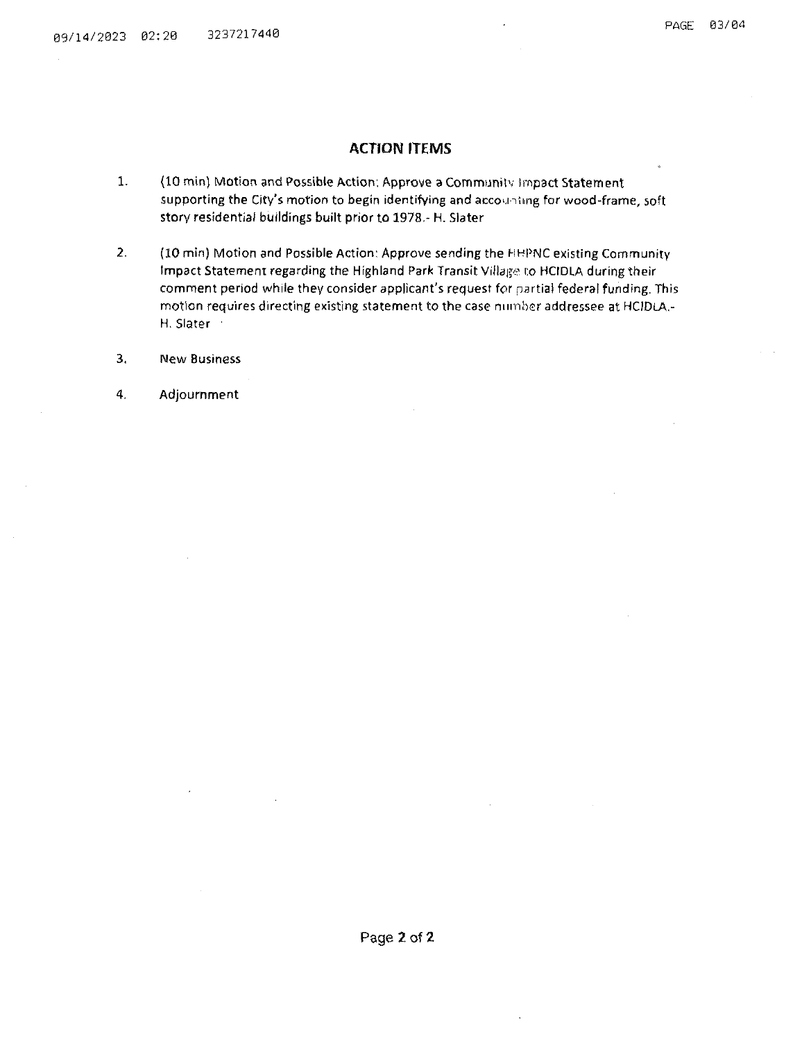#### **ACTION ITEMS**

- **1. {10 min) Motion and Possible Action: Approve a Community impact Statement supporting the City's motion to begin identifying and accou iimg for wood-frame, soft story residential buildings built prior to 1978,- H. Slater**
- **2. (10 min) Motion and Possible Action: Approve sending the HHPNC existing Community Impact Statement regarding the Highland Park Transit Villagi:' co HCIDLA during their comment period while they consider applicant's request for partial federal funding, This motion requires directing existing statement to the case number addressee at HCIDLA,- H. Slater <sup>1</sup>**
- **3. New Business**
- **4. Adjournment**